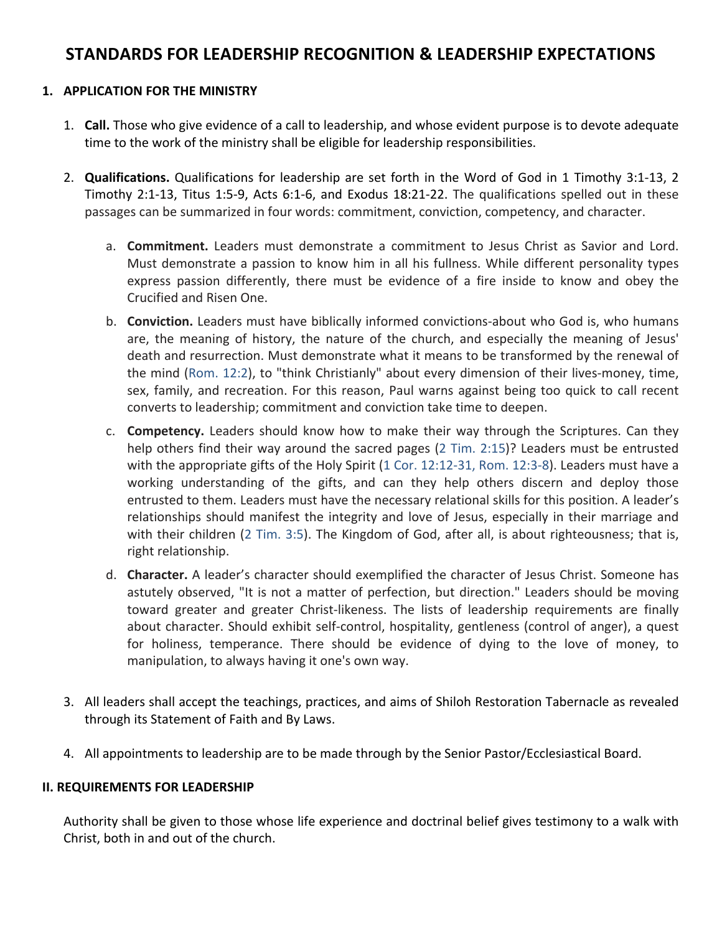## STANDARDS FOR LEADERSHIP RECOGNITION & LEADERSHIP EXPECTATIONS

### 1. **APPLICATION FOR THE MINISTRY**

- 1. **Call.** Those who give evidence of a call to leadership, and whose evident purpose is to devote adequate time to the work of the ministry shall be eligible for leadership responsibilities.
- 2. **Qualifications.** Qualifications for leadership are set forth in the Word of God in 1 Timothy 3:1-13, 2 Timothy 2:1-13, Titus 1:5-9, Acts 6:1-6, and Exodus 18:21-22. The qualifications spelled out in these passages can be summarized in four words: commitment, conviction, competency, and character.
	- a. **Commitment.** Leaders must demonstrate a commitment to Jesus Christ as Savior and Lord. Must demonstrate a passion to know him in all his fullness. While different personality types express passion differently, there must be evidence of a fire inside to know and obey the Crucified and Risen One.
	- b. **Conviction.** Leaders must have biblically informed convictions-about who God is, who humans are, the meaning of history, the nature of the church, and especially the meaning of Jesus' death and resurrection. Must demonstrate what it means to be transformed by the renewal of the mind (Rom. 12:2), to "think Christianly" about every dimension of their lives-money, time, sex, family, and recreation. For this reason, Paul warns against being too quick to call recent converts to leadership; commitment and conviction take time to deepen.
	- c. **Competency.** Leaders should know how to make their way through the Scriptures. Can they help others find their way around the sacred pages (2 Tim. 2:15)? Leaders must be entrusted with the appropriate gifts of the Holy Spirit (1 Cor. 12:12-31, Rom. 12:3-8). Leaders must have a working understanding of the gifts, and can they help others discern and deploy those entrusted to them. Leaders must have the necessary relational skills for this position. A leader's relationships should manifest the integrity and love of Jesus, especially in their marriage and with their children (2 Tim. 3:5). The Kingdom of God, after all, is about righteousness; that is, right relationship.
	- d. **Character.** A leader's character should exemplified the character of Jesus Christ. Someone has astutely observed, "It is not a matter of perfection, but direction." Leaders should be moving toward greater and greater Christ-likeness. The lists of leadership requirements are finally about character. Should exhibit self-control, hospitality, gentleness (control of anger), a quest for holiness, temperance. There should be evidence of dying to the love of money, to manipulation, to always having it one's own way.
- 3. All leaders shall accept the teachings, practices, and aims of Shiloh Restoration Tabernacle as revealed through its Statement of Faith and By Laws.
- 4. All appointments to leadership are to be made through by the Senior Pastor/Ecclesiastical Board.

#### **II. REQUIREMENTS FOR LEADERSHIP**

Authority shall be given to those whose life experience and doctrinal belief gives testimony to a walk with Christ, both in and out of the church.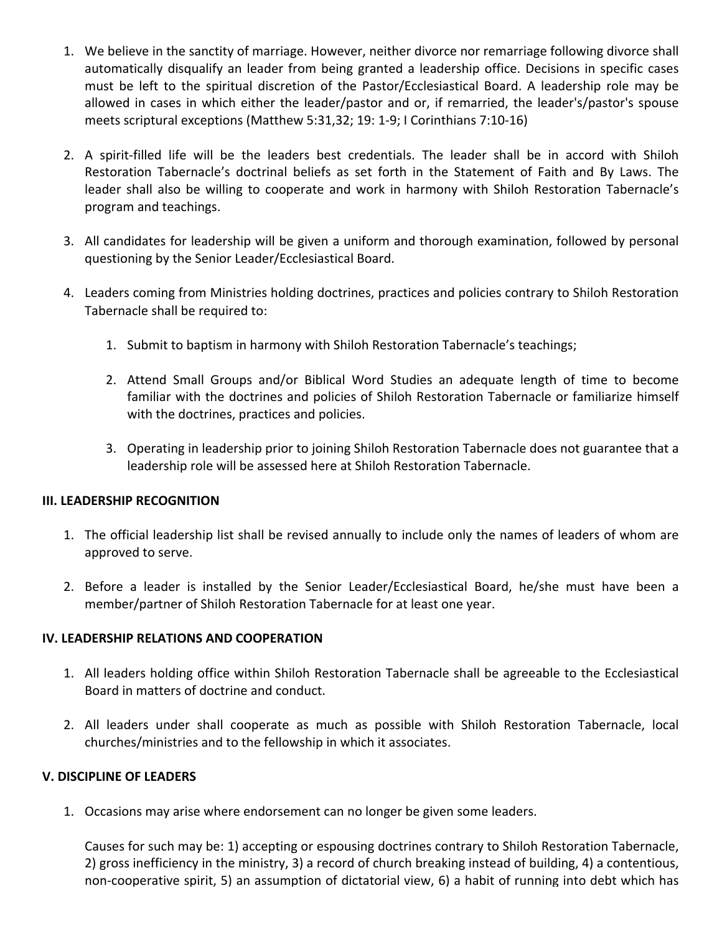- 1. We believe in the sanctity of marriage. However, neither divorce nor remarriage following divorce shall automatically disqualify an leader from being granted a leadership office. Decisions in specific cases must be left to the spiritual discretion of the Pastor/Ecclesiastical Board. A leadership role may be allowed in cases in which either the leader/pastor and or, if remarried, the leader's/pastor's spouse meets scriptural exceptions (Matthew 5:31,32; 19: 1-9; I Corinthians 7:10-16)
- 2. A spirit-filled life will be the leaders best credentials. The leader shall be in accord with Shiloh Restoration Tabernacle's doctrinal beliefs as set forth in the Statement of Faith and By Laws. The leader shall also be willing to cooperate and work in harmony with Shiloh Restoration Tabernacle's program and teachings.
- 3. All candidates for leadership will be given a uniform and thorough examination, followed by personal questioning by the Senior Leader/Ecclesiastical Board.
- 4. Leaders coming from Ministries holding doctrines, practices and policies contrary to Shiloh Restoration Tabernacle shall be required to:
	- 1. Submit to baptism in harmony with Shiloh Restoration Tabernacle's teachings;
	- 2. Attend Small Groups and/or Biblical Word Studies an adequate length of time to become familiar with the doctrines and policies of Shiloh Restoration Tabernacle or familiarize himself with the doctrines, practices and policies.
	- 3. Operating in leadership prior to joining Shiloh Restoration Tabernacle does not guarantee that a leadership role will be assessed here at Shiloh Restoration Tabernacle.

#### **III. LEADERSHIP RECOGNITION**

- 1. The official leadership list shall be revised annually to include only the names of leaders of whom are approved to serve.
- 2. Before a leader is installed by the Senior Leader/Ecclesiastical Board, he/she must have been a member/partner of Shiloh Restoration Tabernacle for at least one year.

## IV. LEADERSHIP RELATIONS AND COOPERATION

- 1. All leaders holding office within Shiloh Restoration Tabernacle shall be agreeable to the Ecclesiastical Board in matters of doctrine and conduct.
- 2. All leaders under shall cooperate as much as possible with Shiloh Restoration Tabernacle, local churches/ministries and to the fellowship in which it associates.

#### **V. DISCIPLINE OF LEADERS**

1. Occasions may arise where endorsement can no longer be given some leaders.

Causes for such may be: 1) accepting or espousing doctrines contrary to Shiloh Restoration Tabernacle, 2) gross inefficiency in the ministry, 3) a record of church breaking instead of building, 4) a contentious, non-cooperative spirit, 5) an assumption of dictatorial view, 6) a habit of running into debt which has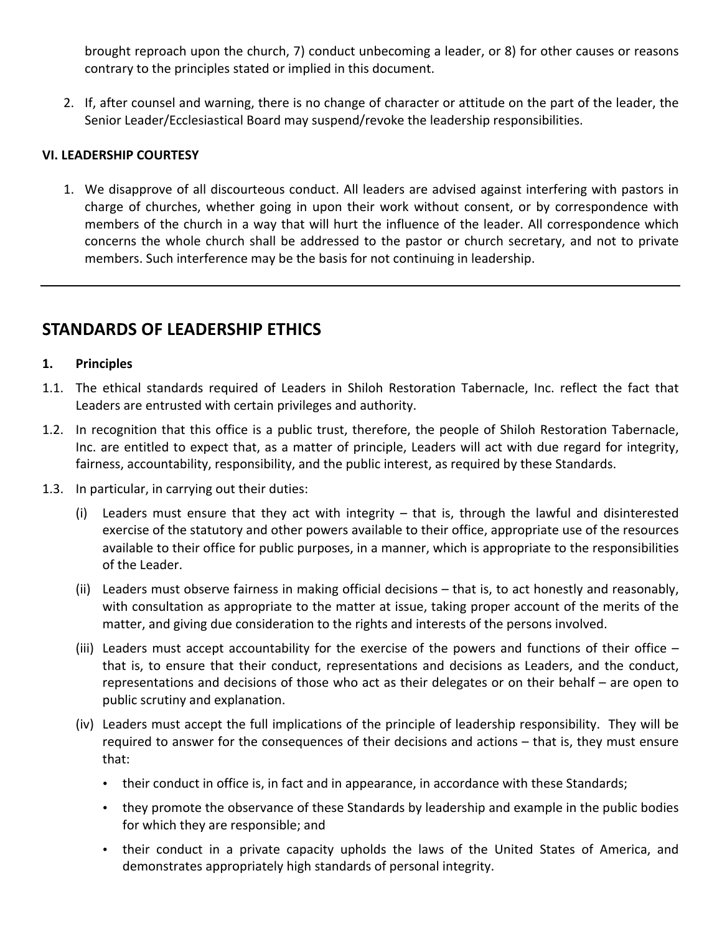brought reproach upon the church, 7) conduct unbecoming a leader, or 8) for other causes or reasons contrary to the principles stated or implied in this document.

2. If, after counsel and warning, there is no change of character or attitude on the part of the leader, the Senior Leader/Ecclesiastical Board may suspend/revoke the leadership responsibilities.

## **VI.'LEADERSHIP COURTESY**

1. We disapprove of all discourteous conduct. All leaders are advised against interfering with pastors in charge of churches, whether going in upon their work without consent, or by correspondence with members of the church in a way that will hurt the influence of the leader. All correspondence which concerns the whole church shall be addressed to the pastor or church secretary, and not to private members. Such interference may be the basis for not continuing in leadership.

# **STANDARDS'OF'LEADERSHIP ETHICS**

## **1. Principles**

- 1.1. The ethical standards required of Leaders in Shiloh Restoration Tabernacle, Inc. reflect the fact that Leaders are entrusted with certain privileges and authority.
- 1.2. In recognition that this office is a public trust, therefore, the people of Shiloh Restoration Tabernacle, Inc. are entitled to expect that, as a matter of principle, Leaders will act with due regard for integrity, fairness, accountability, responsibility, and the public interest, as required by these Standards.
- 1.3. In particular, in carrying out their duties:
	- (i) Leaders must ensure that they act with integrity  $-$  that is, through the lawful and disinterested exercise of the statutory and other powers available to their office, appropriate use of the resources available to their office for public purposes, in a manner, which is appropriate to the responsibilities of the Leader.
	- (ii) Leaders must observe fairness in making official decisions that is, to act honestly and reasonably, with consultation as appropriate to the matter at issue, taking proper account of the merits of the matter, and giving due consideration to the rights and interests of the persons involved.
	- (iii) Leaders must accept accountability for the exercise of the powers and functions of their office that is, to ensure that their conduct, representations and decisions as Leaders, and the conduct, representations and decisions of those who act as their delegates or on their behalf – are open to public scrutiny and explanation.
	- (iv) Leaders must accept the full implications of the principle of leadership responsibility. They will be required to answer for the consequences of their decisions and actions  $-$  that is, they must ensure that:
		- their conduct in office is, in fact and in appearance, in accordance with these Standards;
		- they promote the observance of these Standards by leadership and example in the public bodies for which they are responsible; and
		- their conduct in a private capacity upholds the laws of the United States of America, and demonstrates appropriately high standards of personal integrity.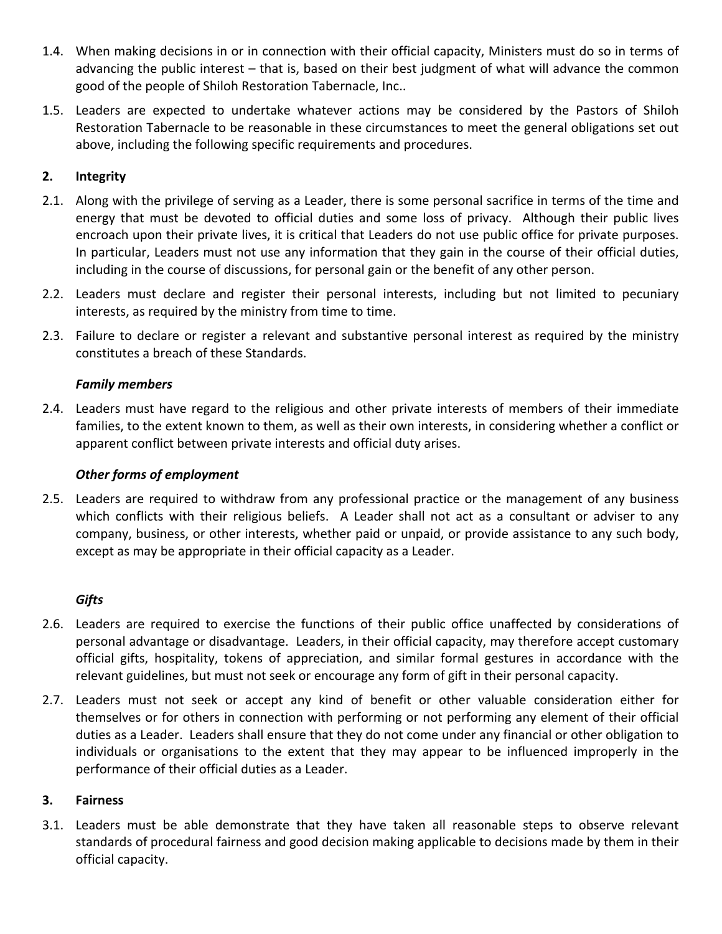- 1.4. When making decisions in or in connection with their official capacity, Ministers must do so in terms of advancing the public interest – that is, based on their best judgment of what will advance the common good of the people of Shiloh Restoration Tabernacle, Inc..
- 1.5. Leaders are expected to undertake whatever actions may be considered by the Pastors of Shiloh Restoration Tabernacle to be reasonable in these circumstances to meet the general obligations set out above, including the following specific requirements and procedures.

## **2. Integrity**

- 2.1. Along with the privilege of serving as a Leader, there is some personal sacrifice in terms of the time and energy that must be devoted to official duties and some loss of privacy. Although their public lives encroach upon their private lives, it is critical that Leaders do not use public office for private purposes. In particular, Leaders must not use any information that they gain in the course of their official duties, including in the course of discussions, for personal gain or the benefit of any other person.
- 2.2. Leaders must declare and register their personal interests, including but not limited to pecuniary interests, as required by the ministry from time to time.
- 2.3. Failure to declare or register a relevant and substantive personal interest as required by the ministry constitutes a breach of these Standards.

## *Family'members*

2.4. Leaders must have regard to the religious and other private interests of members of their immediate families, to the extent known to them, as well as their own interests, in considering whether a conflict or apparent conflict between private interests and official duty arises.

## *Other'forms'of'employment*

2.5. Leaders are required to withdraw from any professional practice or the management of any business which conflicts with their religious beliefs. A Leader shall not act as a consultant or adviser to any company, business, or other interests, whether paid or unpaid, or provide assistance to any such body, except as may be appropriate in their official capacity as a Leader.

## *Gifts*

- 2.6. Leaders are required to exercise the functions of their public office unaffected by considerations of personal advantage or disadvantage. Leaders, in their official capacity, may therefore accept customary official gifts, hospitality, tokens of appreciation, and similar formal gestures in accordance with the relevant guidelines, but must not seek or encourage any form of gift in their personal capacity.
- 2.7. Leaders must not seek or accept any kind of benefit or other valuable consideration either for themselves or for others in connection with performing or not performing any element of their official duties as a Leader. Leaders shall ensure that they do not come under any financial or other obligation to individuals or organisations to the extent that they may appear to be influenced improperly in the performance of their official duties as a Leader.

## **3. Fairness**

3.1. Leaders must be able demonstrate that they have taken all reasonable steps to observe relevant standards of procedural fairness and good decision making applicable to decisions made by them in their official capacity.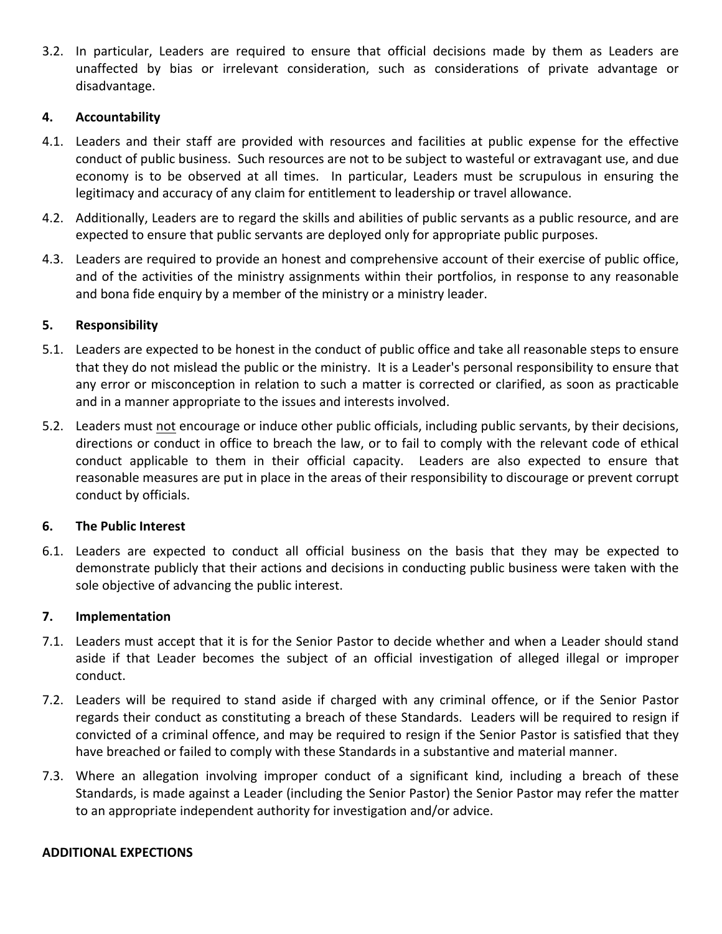3.2. In particular, Leaders are required to ensure that official decisions made by them as Leaders are unaffected by bias or irrelevant consideration, such as considerations of private advantage or disadvantage.#

### **4. Accountability**

- 4.1. Leaders and their staff are provided with resources and facilities at public expense for the effective conduct of public business. Such resources are not to be subject to wasteful or extravagant use, and due economy is to be observed at all times. In particular, Leaders must be scrupulous in ensuring the legitimacy and accuracy of any claim for entitlement to leadership or travel allowance.
- 4.2. Additionally, Leaders are to regard the skills and abilities of public servants as a public resource, and are expected to ensure that public servants are deployed only for appropriate public purposes.
- 4.3. Leaders are required to provide an honest and comprehensive account of their exercise of public office, and of the activities of the ministry assignments within their portfolios, in response to any reasonable and bona fide enquiry by a member of the ministry or a ministry leader.

### **5. Responsibility**

- 5.1. Leaders are expected to be honest in the conduct of public office and take all reasonable steps to ensure that they do not mislead the public or the ministry. It is a Leader's personal responsibility to ensure that any error or misconception in relation to such a matter is corrected or clarified, as soon as practicable and in a manner appropriate to the issues and interests involved.
- 5.2. Leaders must not encourage or induce other public officials, including public servants, by their decisions, directions or conduct in office to breach the law, or to fail to comply with the relevant code of ethical conduct applicable to them in their official capacity. Leaders are also expected to ensure that reasonable measures are put in place in the areas of their responsibility to discourage or prevent corrupt conduct by officials.

#### **6. The'Public'Interest**

6.1. Leaders are expected to conduct all official business on the basis that they may be expected to demonstrate publicly that their actions and decisions in conducting public business were taken with the sole objective of advancing the public interest.

#### **7. Implementation**

- 7.1. Leaders must accept that it is for the Senior Pastor to decide whether and when a Leader should stand aside if that Leader becomes the subject of an official investigation of alleged illegal or improper conduct.
- 7.2. Leaders will be required to stand aside if charged with any criminal offence, or if the Senior Pastor regards their conduct as constituting a breach of these Standards. Leaders will be required to resign if convicted of a criminal offence, and may be required to resign if the Senior Pastor is satisfied that they have breached or failed to comply with these Standards in a substantive and material manner.
- 7.3. Where an allegation involving improper conduct of a significant kind, including a breach of these Standards, is made against a Leader (including the Senior Pastor) the Senior Pastor may refer the matter to an appropriate independent authority for investigation and/or advice.

#### **ADDITIONAL EXPECTIONS**